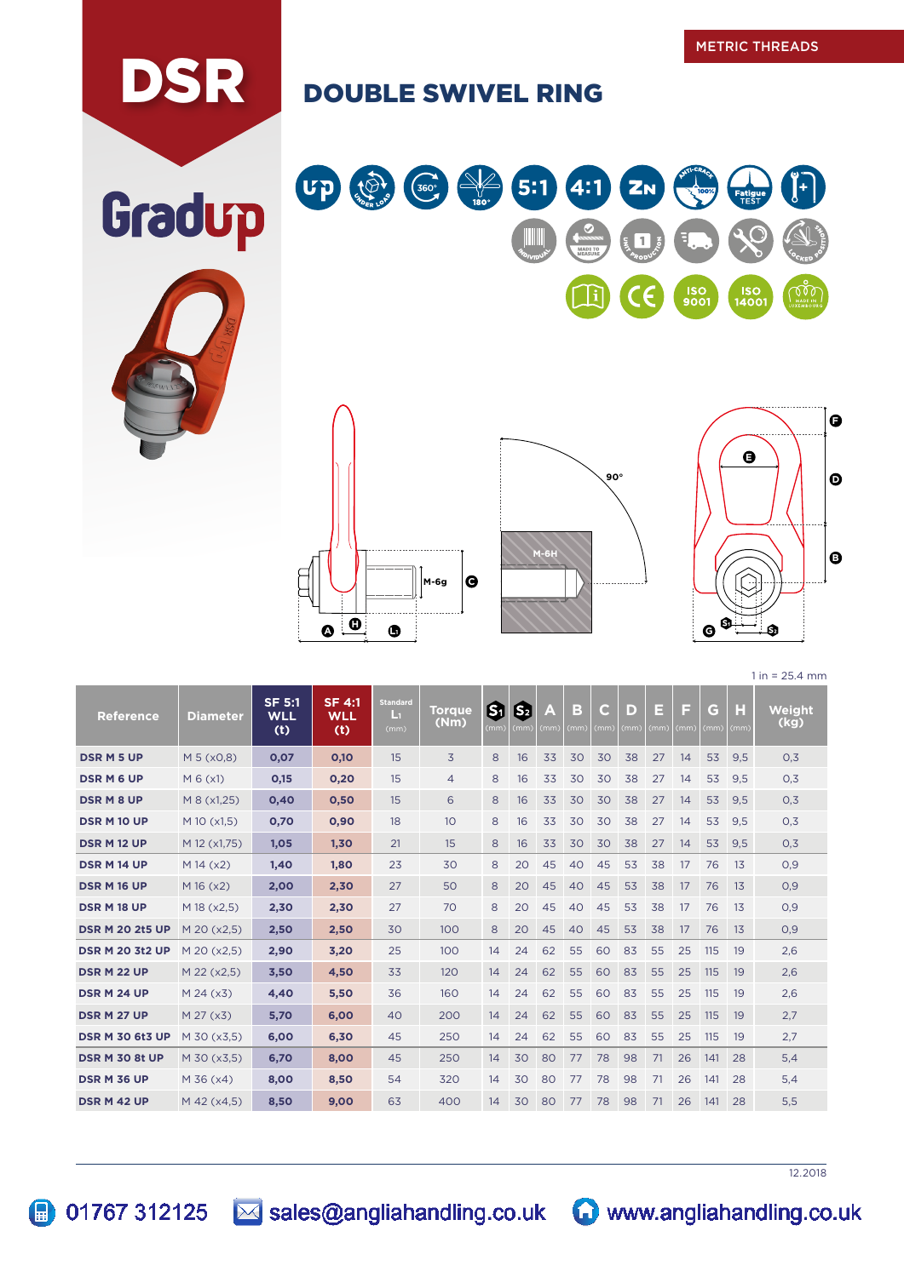## DSR DOUBLE SWIVEL RING









 $1 in = 25.4 mm$ n.

| <b>Reference</b>       | <b>Diameter</b> | SF 5:1<br><b>WLL</b><br>(t) | $SF$ 4:1<br><b>WLL</b><br>(t) | <b>Standard</b><br>Ŀт<br>(mm) | <b>Torque</b><br>(Nm) | ග<br>(mm) | 因<br>(mm) | A<br>(mm) | в<br>(mm) | C<br>(mm) | D<br>(mm) | E<br>(mm) | F<br>(mm) | G<br>(mm) | H<br>(mm) | Weight<br>(kg) |
|------------------------|-----------------|-----------------------------|-------------------------------|-------------------------------|-----------------------|-----------|-----------|-----------|-----------|-----------|-----------|-----------|-----------|-----------|-----------|----------------|
| <b>DSR M 5 UP</b>      | M 5 (x0.8)      | 0,07                        | 0,10                          | 15                            | 3                     | 8         | 16        | 33        | 30        | 30        | 38        | 27        | 14        | 53        | 9,5       | 0,3            |
| <b>DSRM6UP</b>         | $M_6(x1)$       | 0,15                        | 0,20                          | 15                            | $\overline{4}$        | 8         | 16        | 33        | 30        | 30        | 38        | 27        | 14        | 53        | 9,5       | 0,3            |
| <b>DSRM8UP</b>         | M 8 (x1,25)     | 0,40                        | 0,50                          | 15                            | 6                     | 8         | 16        | 33        | 30        | 30        | 38        | 27        | 14        | 53        | 9,5       | 0,3            |
| <b>DSR M 10 UP</b>     | M 10 (x1,5)     | 0,70                        | 0,90                          | 18                            | 10 <sup>°</sup>       | 8         | 16        | 33        | 30        | 30        | 38        | 27        | 14        | 53        | 9,5       | 0,3            |
| <b>DSR M12 UP</b>      | M 12 (x1,75)    | 1,05                        | 1.30                          | 21                            | 15                    | 8         | 16        | 33        | 30        | 30        | 38        | 27        | 14        | 53        | 9,5       | 0,3            |
| <b>DSR M 14 UP</b>     | $M$ 14 ( $x2$ ) | 1.40                        | 1.80                          | 23                            | 30                    | 8         | 20        | 45        | 40        | 45        | 53        | 38        | 17        | 76        | 13        | 0,9            |
| <b>DSR M 16 UP</b>     | $M$ 16 ( $x2$ ) | 2,00                        | 2,30                          | 27                            | 50                    | 8         | 20        | 45        | 40        | 45        | 53        | 38        | 17        | 76        | 13        | O,9            |
| <b>DSR M 18 UP</b>     | M 18 (x2,5)     | 2,30                        | 2,30                          | 27                            | 70                    | 8         | 20        | 45        | 40        | 45        | 53        | 38        | 17        | 76        | 13        | O,9            |
| <b>DSR M 20 2t5 UP</b> | M 20 (x2.5)     | 2,50                        | 2,50                          | 30                            | 100                   | 8         | 20        | 45        | 40        | 45        | 53        | 38        | 17        | 76        | 13        | 0,9            |
| <b>DSR M 20 3t2 UP</b> | M 20 (x2.5)     | 2,90                        | 3,20                          | 25                            | 100                   | 14        | 24        | 62        | 55        | 60        | 83        | 55        | 25        | 115       | 19        | 2,6            |
| <b>DSR M 22 UP</b>     | M 22 (x2,5)     | 3,50                        | 4,50                          | 33                            | 120                   | 14        | 24        | 62        | 55        | 60        | 83        | 55        | 25        | 115       | 19        | 2,6            |
| DSR M 24 UP            | M 24 (x3)       | 4,40                        | 5,50                          | 36                            | 160                   | 14        | 24        | 62        | 55        | 60        | 83        | 55        | 25        | 115       | 19        | 2,6            |
| <b>DSR M 27 UP</b>     | M 27 (x3)       | 5.70                        | 6.00                          | 40                            | 200                   | 14        | 24        | 62        | 55        | 60        | 83        | 55        | 25        | 115       | 19        | 2,7            |
| <b>DSR M 30 6t3 UP</b> | M 30 (x3.5)     | 6.00                        | 6,30                          | 45                            | 250                   | 14        | 24        | 62        | 55        | 60        | 83        | 55        | 25        | 115       | 19        | 2,7            |
| <b>DSR M 30 8t UP</b>  | M 30 (x3,5)     | 6,70                        | 8,00                          | 45                            | 250                   | 14        | 30        | 80        | 77        | 78        | 98        | 71        | 26        | 141       | 28        | 5,4            |
| <b>DSR M 36 UP</b>     | M 36 (x4)       | 8,00                        | 8,50                          | 54                            | 320                   | 14        | 30        | 80        | 77        | 78        | 98        | 71        | 26        | 141       | 28        | 5,4            |
| DSR M 42 UP            | M 42 (x4,5)     | 8,50                        | 9,00                          | 63                            | 400                   | 14        | 30        | 80        | 77        | 78        | 98        | 71        | 26        | 141       | 28        | 5,5            |

12.2018



01767 312125 3 sales@angliahandling.co.uk www.angliahandling.co.uk